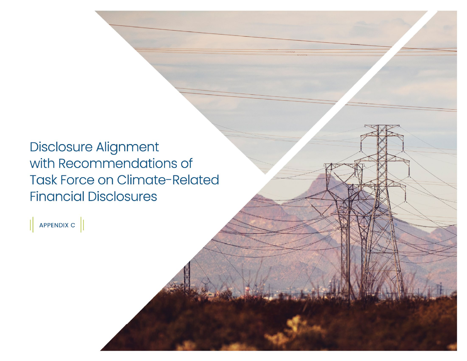**Disclosure Alignment** with Recommendations of **Task Force on Climate-Related Financial Disclosures** 

 $\parallel$  APPENDIX C  $\parallel$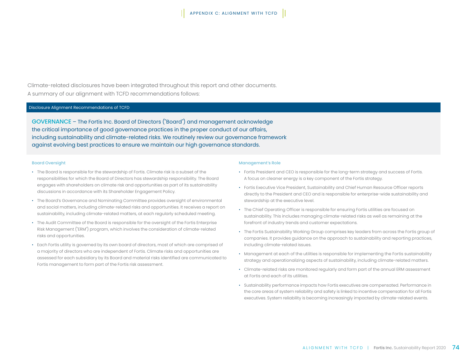Climate-related disclosures have been integrated throughout this report and other documents. A summary of our alignment with TCFD recommendations follows:

## Disclosure Alignment Recommendations of TCFD

GOVERNANCE – The Fortis Inc. Board of Directors ("Board") and management acknowledge the critical importance of good governance practices in the proper conduct of our affairs, including sustainability and climate-related risks. We routinely review our governance framework against evolving best practices to ensure we maintain our high governance standards.

#### Board Oversight

- The Board is responsible for the stewardship of Fortis. Climate risk is a subset of the responsibilities for which the Board of Directors has stewardship responsibility. The Board engages with shareholders on climate risk and opportunities as part of its sustainability discussions in accordance with its Shareholder Engagement Policy.
- The Board's Governance and Nominating Committee provides oversight of environmental and social matters, including climate-related risks and opportunities. It receives a report on sustainability, including climate-related matters, at each regularly scheduled meeting.
- The Audit Committee of the Board is responsible for the oversight of the Fortis Enterprise Risk Management ("ERM") program, which involves the consideration of climate-related risks and opportunities.
- Each Fortis utility is governed by its own board of directors, most of which are comprised of a majority of directors who are independent of Fortis. Climate risks and opportunities are assessed for each subsidiary by its Board and material risks identified are communicated to Fortis management to form part of the Fortis risk assessment.

#### Management's Role

- Fortis President and CEO is responsible for the long-term strategy and success of Fortis. A focus on cleaner energy is a key component of the Fortis strategy.
- Fortis Executive Vice President, Sustainability and Chief Human Resource Officer reports directly to the President and CEO and is responsible for enterprise-wide sustainability and stewardship at the executive level.
- The Chief Operating Officer is responsible for ensuring Fortis utilities are focused on sustainability. This includes managing climate-related risks as well as remaining at the forefront of industry trends and customer expectations.
- The Fortis Sustainability Working Group comprises key leaders from across the Fortis group of companies. It provides guidance on the approach to sustainability and reporting practices, including climate-related issues.
- Management at each of the utilities is responsible for implementing the Fortis sustainability strategy and operationalizing aspects of sustainability, including climate-related matters.
- Climate-related risks are monitored regularly and form part of the annual ERM assessment at Fortis and each of its utilities.
- Sustainability performance impacts how Fortis executives are compensated. Performance in the core areas of system reliability and safety is linked to incentive compensation for all Fortis executives. System reliability is becoming increasingly impacted by climate-related events.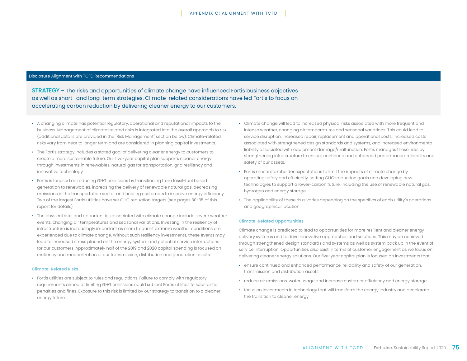### Disclosure Alignment with TCFD Recommendations

STRATEGY – The risks and opportunities of climate change have influenced Fortis business objectives as well as short- and long-term strategies. Climate-related considerations have led Fortis to focus on accelerating carbon reduction by delivering cleaner energy to our customers.

- A changing climate has potential regulatory, operational and reputational impacts to the business. Management of climate-related risks is integrated into the overall approach to risk (additional details are provided in the "Risk Management" section below). Climate-related risks vary from near to longer term and are considered in planning capital investments.
- The Fortis strategy includes a stated goal of delivering cleaner energy to customers to create a more sustainable future. Our five-year capital plan supports cleaner energy through investments in renewables, natural gas for transportation, grid resiliency and innovative technology.
- Fortis is focused on reducing GHG emissions by transitioning from fossil-fuel based generation to renewables, increasing the delivery of renewable natural gas, decreasing emissions in the transportation sector and helping customers to improve energy efficiency. Two of the largest Fortis utilities have set GHG reduction targets (see pages 30-35 of this report for details).
- The physical risks and opportunities associated with climate change include severe weather events, changing air temperatures and seasonal variations. Investing in the resiliency of infrastructure is increasingly important as more frequent extreme weather conditions are experienced due to climate change. Without such resiliency investments, these events may lead to increased stress placed on the energy system and potential service interruptions for our customers. Approximately half of the 2019 and 2020 capital spending is focused on resiliency and modernization of our transmission, distribution and generation assets.

### Climate-Related Risks

• Fortis utilities are subject to rules and regulations. Failure to comply with regulatory requirements aimed at limiting GHG emissions could subject Fortis utilities to substantial penalties and fines. Exposure to this risk is limited by our strategy to transition to a cleaner energy future.

- Climate change will lead to increased physical risks associated with more frequent and intense weather, changing air temperatures and seasonal variations. This could lead to service disruption, increased repair, replacement and operational costs, increased costs associated with strengthened design standards and systems, and increased environmental liability associated with equipment damage/malfunction. Fortis manages these risks by strengthening infrastructure to ensure continued and enhanced performance, reliability and safety of our assets.
- Fortis meets stakeholder expectations to limit the impacts of climate change by operating safely and efficiently, setting GHG-reduction goals and developing new technologies to support a lower-carbon future, including the use of renewable natural gas, hydrogen and energy storage.
- The applicability of these risks varies depending on the specifics of each utility's operations and geographical location.

#### Climate-Related Opportunities

Climate change is predicted to lead to opportunities for more resilient and cleaner energy delivery systems and to drive innovative approaches and solutions. This may be achieved through strengthened design standards and systems as well as system back up in the event of service interruption. Opportunities also exist in terms of customer engagement as we focus on delivering cleaner energy solutions. Our five-year capital plan is focused on investments that:

- ensure continued and enhanced performance, reliability and safety of our generation, transmission and distribution assets
- reduce air emissions, water usage and increase customer efficiency and energy storage
- focus on investments in technology that will transform the energy industry and accelerate the transition to cleaner energy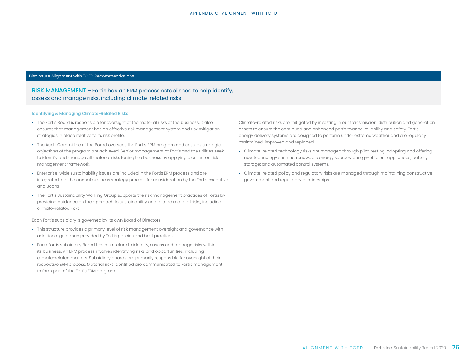### Disclosure Alignment with TCFD Recommendations

# RISK MANAGEMENT – Fortis has an ERM process established to help identify, assess and manage risks, including climate-related risks.

### Identifying & Managing Climate-Related Risks

- The Fortis Board is responsible for oversight of the material risks of the business. It also ensures that management has an effective risk management system and risk mitigation strategies in place relative to its risk profile.
- The Audit Committee of the Board oversees the Fortis ERM program and ensures strategic objectives of the program are achieved. Senior management at Fortis and the utilities seek to identify and manage all material risks facing the business by applying a common risk management framework.
- Enterprise-wide sustainability issues are included in the Fortis ERM process and are integrated into the annual business strategy process for consideration by the Fortis executive and Board.
- The Fortis Sustainability Working Group supports the risk management practices of Fortis by providing guidance on the approach to sustainability and related material risks, including climate-related risks.

Each Fortis subsidiary is governed by its own Board of Directors:

- This structure provides a primary level of risk management oversight and governance with additional guidance provided by Fortis policies and best practices.
- Each Fortis subsidiary Board has a structure to identify, assess and manage risks within its business. An ERM process involves identifying risks and opportunities, including climate-related matters. Subsidiary boards are primarily responsible for oversight of their respective ERM process. Material risks identified are communicated to Fortis management to form part of the Fortis ERM program.

Climate-related risks are mitigated by investing in our transmission, distribution and generation assets to ensure the continued and enhanced performance, reliability and safety. Fortis energy delivery systems are designed to perform under extreme weather and are regularly maintained, improved and replaced.

- Climate-related technology risks are managed through pilot-testing, adopting and offering new technology such as: renewable energy sources; energy-efficient appliances; battery storage; and automated control systems.
- Climate-related policy and regulatory risks are managed through maintaining constructive government and regulatory relationships.